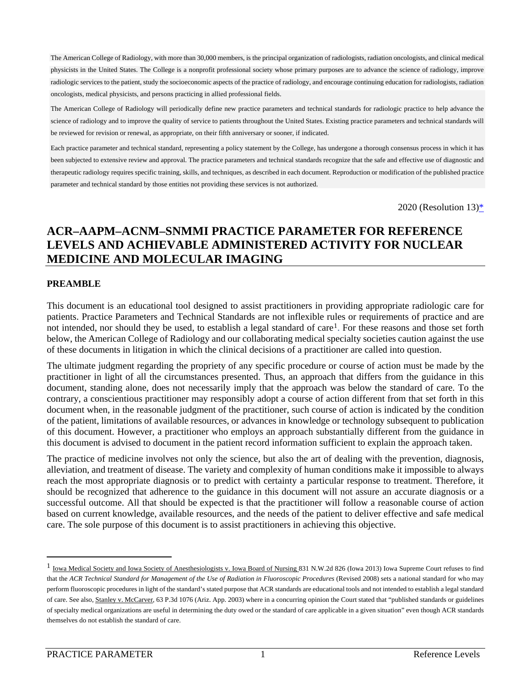The American College of Radiology, with more than 30,000 members, is the principal organization of radiologists, radiation oncologists, and clinical medical physicists in the United States. The College is a nonprofit professional society whose primary purposes are to advance the science of radiology, improve radiologic services to the patient, study the socioeconomic aspects of the practice of radiology, and encourage continuing education for radiologists, radiation oncologists, medical physicists, and persons practicing in allied professional fields.

The American College of Radiology will periodically define new practice parameters and technical standards for radiologic practice to help advance the science of radiology and to improve the quality of service to patients throughout the United States. Existing practice parameters and technical standards will be reviewed for revision or renewal, as appropriate, on their fifth anniversary or sooner, if indicated.

Each practice parameter and technical standard, representing a policy statement by the College, has undergone a thorough consensus process in which it has been subjected to extensive review and approval. The practice parameters and technical standards recognize that the safe and effective use of diagnostic and therapeutic radiology requires specific training, skills, and techniques, as described in each document. Reproduction or modification of the published practice parameter and technical standard by those entities not providing these services is not authorized.

2020 (Resolution  $13)*$  $13)*$ 

# **ACR–AAPM–ACNM–SNMMI PRACTICE PARAMETER FOR REFERENCE LEVELS AND ACHIEVABLE ADMINISTERED ACTIVITY FOR NUCLEAR MEDICINE AND MOLECULAR IMAGING**

#### **PREAMBLE**

This document is an educational tool designed to assist practitioners in providing appropriate radiologic care for patients. Practice Parameters and Technical Standards are not inflexible rules or requirements of practice and are not intended, nor should they be used, to establish a legal standard of care<sup>[1](#page-0-0)</sup>. For these reasons and those set forth below, the American College of Radiology and our collaborating medical specialty societies caution against the use of these documents in litigation in which the clinical decisions of a practitioner are called into question.

The ultimate judgment regarding the propriety of any specific procedure or course of action must be made by the practitioner in light of all the circumstances presented. Thus, an approach that differs from the guidance in this document, standing alone, does not necessarily imply that the approach was below the standard of care. To the contrary, a conscientious practitioner may responsibly adopt a course of action different from that set forth in this document when, in the reasonable judgment of the practitioner, such course of action is indicated by the condition of the patient, limitations of available resources, or advances in knowledge or technology subsequent to publication of this document. However, a practitioner who employs an approach substantially different from the guidance in this document is advised to document in the patient record information sufficient to explain the approach taken.

The practice of medicine involves not only the science, but also the art of dealing with the prevention, diagnosis, alleviation, and treatment of disease. The variety and complexity of human conditions make it impossible to always reach the most appropriate diagnosis or to predict with certainty a particular response to treatment. Therefore, it should be recognized that adherence to the guidance in this document will not assure an accurate diagnosis or a successful outcome. All that should be expected is that the practitioner will follow a reasonable course of action based on current knowledge, available resources, and the needs of the patient to deliver effective and safe medical care. The sole purpose of this document is to assist practitioners in achieving this objective.

<span id="page-0-0"></span><sup>&</sup>lt;sup>1</sup> Iowa Medical Society and Iowa Society of Anesthesiologists v. Iowa Board of Nursing 831 N.W.2d 826 (Iowa 2013) Iowa Supreme Court refuses to find that the *ACR Technical Standard for Management of the Use of Radiation in Fluoroscopic Procedures* (Revised 2008) sets a national standard for who may perform fluoroscopic procedures in light of the standard's stated purpose that ACR standards are educational tools and not intended to establish a legal standard of care. See also, Stanley v. McCarver, 63 P.3d 1076 (Ariz. App. 2003) where in a concurring opinion the Court stated that "published standards or guidelines of specialty medical organizations are useful in determining the duty owed or the standard of care applicable in a given situation" even though ACR standards themselves do not establish the standard of care.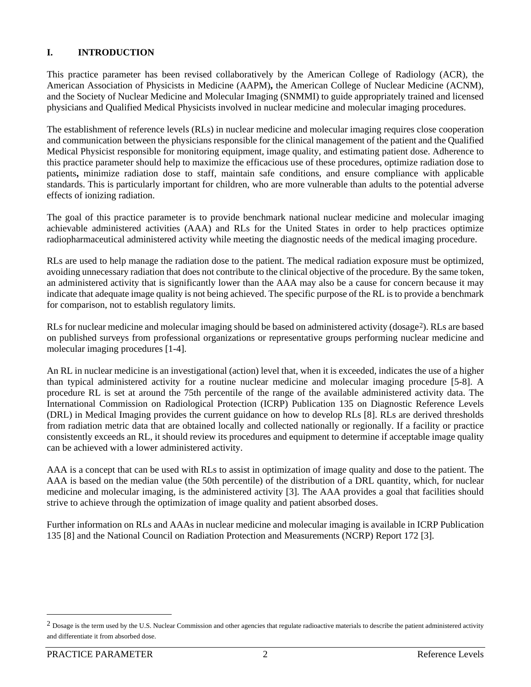## **I. INTRODUCTION**

This practice parameter has been revised collaboratively by the American College of Radiology (ACR), the American Association of Physicists in Medicine (AAPM)**,** the American College of Nuclear Medicine (ACNM), and the Society of Nuclear Medicine and Molecular Imaging (SNMMI) to guide appropriately trained and licensed physicians and Qualified Medical Physicists involved in nuclear medicine and molecular imaging procedures.

The establishment of reference levels (RLs) in nuclear medicine and molecular imaging requires close cooperation and communication between the physicians responsible for the clinical management of the patient and the Qualified Medical Physicist responsible for monitoring equipment, image quality, and estimating patient dose. Adherence to this practice parameter should help to maximize the efficacious use of these procedures, optimize radiation dose to patients**,** minimize radiation dose to staff, maintain safe conditions, and ensure compliance with applicable standards. This is particularly important for children, who are more vulnerable than adults to the potential adverse effects of ionizing radiation.

The goal of this practice parameter is to provide benchmark national nuclear medicine and molecular imaging achievable administered activities (AAA) and RLs for the United States in order to help practices optimize radiopharmaceutical administered activity while meeting the diagnostic needs of the medical imaging procedure.

RLs are used to help manage the radiation dose to the patient. The medical radiation exposure must be optimized, avoiding unnecessary radiation that does not contribute to the clinical objective of the procedure. By the same token, an administered activity that is significantly lower than the AAA may also be a cause for concern because it may indicate that adequate image quality is not being achieved. The specific purpose of the RL is to provide a benchmark for comparison, not to establish regulatory limits.

RLs for nuclear medicine and molecular imaging should be based on administered activity (dosage<sup>2</sup>). RLs are based on published surveys from professional organizations or representative groups performing nuclear medicine and molecular imaging procedures [\[1-4\]](#page-7-0).

An RL in nuclear medicine is an investigational (action) level that, when it is exceeded, indicates the use of a higher than typical administered activity for a routine nuclear medicine and molecular imaging procedure [\[5-8\]](#page-8-0). A procedure RL is set at around the 75th percentile of the range of the available administered activity data. The International Commission on Radiological Protection (ICRP) Publication 135 on Diagnostic Reference Levels (DRL) in Medical Imaging provides the current guidance on how to develop RLs [\[8\]](#page-8-1). RLs are derived thresholds from radiation metric data that are obtained locally and collected nationally or regionally. If a facility or practice consistently exceeds an RL, it should review its procedures and equipment to determine if acceptable image quality can be achieved with a lower administered activity.

AAA is a concept that can be used with RLs to assist in optimization of image quality and dose to the patient. The AAA is based on the median value (the 50th percentile) of the distribution of a DRL quantity, which, for nuclear medicine and molecular imaging, is the administered activity [\[3\]](#page-7-1). The AAA provides a goal that facilities should strive to achieve through the optimization of image quality and patient absorbed doses.

Further information on RLs and AAAs in nuclear medicine and molecular imaging is available in ICRP Publication 135 [\[8\]](#page-8-1) and the National Council on Radiation Protection and Measurements (NCRP) Report 172 [\[3\]](#page-7-1).

<span id="page-1-0"></span><sup>&</sup>lt;sup>2</sup> Dosage is the term used by the U.S. Nuclear Commission and other agencies that regulate radioactive materials to describe the patient administered activity and differentiate it from absorbed dose.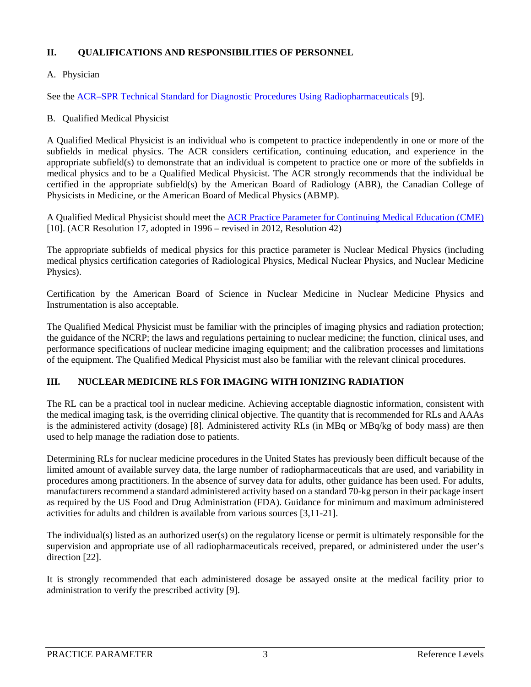## **II. QUALIFICATIONS AND RESPONSIBILITIES OF PERSONNEL**

## A. Physician

See the [ACR–SPR](https://www.acr.org/-/media/ACR/Files/Practice-Parameters/Radiopharmaceuticals.pdf?la=en5.pdf) [Technical Standard for Diagnostic Procedures Using Radiopharmaceuticals](https://www.acr.org/-/media/ACR/Files/Practice-Parameters/Radiopharmaceuticals.pdf?la=en5.pdf) [\[9\]](#page-8-2).

## B. Qualified Medical Physicist

A Qualified Medical Physicist is an individual who is competent to practice independently in one or more of the subfields in medical physics. The ACR considers certification, continuing education, and experience in the appropriate subfield(s) to demonstrate that an individual is competent to practice one or more of the subfields in medical physics and to be a Qualified Medical Physicist. The ACR strongly recommends that the individual be certified in the appropriate subfield(s) by the American Board of Radiology (ABR), the Canadian College of Physicists in Medicine, or the American Board of Medical Physics (ABMP).

A Qualified Medical Physicist should meet the [ACR Practice Parameter for Continuing Medical Education \(CME\)](https://www.acr.org/-/media/ACR/Files/Practice-Parameters/CME.pdf?la=en) [\[10\]](#page-8-3). (ACR Resolution 17, adopted in 1996 – revised in 2012, Resolution 42)

The appropriate subfields of medical physics for this practice parameter is Nuclear Medical Physics (including medical physics certification categories of Radiological Physics, Medical Nuclear Physics, and Nuclear Medicine Physics).

Certification by the American Board of Science in Nuclear Medicine in Nuclear Medicine Physics and Instrumentation is also acceptable.

The Qualified Medical Physicist must be familiar with the principles of imaging physics and radiation protection; the guidance of the NCRP; the laws and regulations pertaining to nuclear medicine; the function, clinical uses, and performance specifications of nuclear medicine imaging equipment; and the calibration processes and limitations of the equipment. The Qualified Medical Physicist must also be familiar with the relevant clinical procedures.

## **III. NUCLEAR MEDICINE RLS FOR IMAGING WITH IONIZING RADIATION**

The RL can be a practical tool in nuclear medicine. Achieving acceptable diagnostic information, consistent with the medical imaging task, is the overriding clinical objective. The quantity that is recommended for RLs and AAAs is the administered activity (dosage) [\[8\]](#page-8-1). Administered activity RLs (in MBq or MBq/kg of body mass) are then used to help manage the radiation dose to patients.

Determining RLs for nuclear medicine procedures in the United States has previously been difficult because of the limited amount of available survey data, the large number of radiopharmaceuticals that are used, and variability in procedures among practitioners. In the absence of survey data for adults, other guidance has been used. For adults, manufacturers recommend a standard administered activity based on a standard 70-kg person in their package insert as required by the US Food and Drug Administration (FDA). Guidance for minimum and maximum administered activities for adults and children is available from various sources [\[3,](#page-7-1)[11-21\]](#page-8-4).

The individual(s) listed as an authorized user(s) on the regulatory license or permit is ultimately responsible for the supervision and appropriate use of all radiopharmaceuticals received, prepared, or administered under the user's direction [\[22\]](#page-8-5).

It is strongly recommended that each administered dosage be assayed onsite at the medical facility prior to administration to verify the prescribed activity [\[9\]](#page-8-2).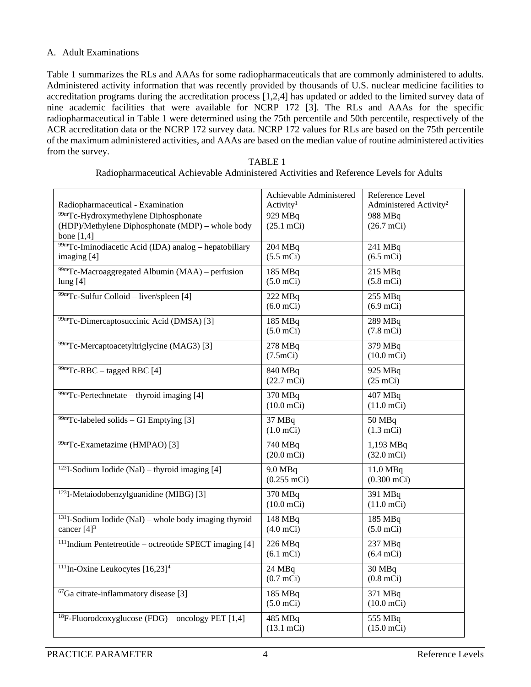#### A. Adult Examinations

Table 1 summarizes the RLs and AAAs for some radiopharmaceuticals that are commonly administered to adults. Administered activity information that was recently provided by thousands of U.S. nuclear medicine facilities to accreditation programs during the accreditation process [\[1,](#page-7-0)[2,](#page-7-2)[4\]](#page-7-3) has updated or added to the limited survey data of nine academic facilities that were available for NCRP 172 [\[3\]](#page-7-1). The RLs and AAAs for the specific radiopharmaceutical in Table 1 were determined using the 75th percentile and 50th percentile, respectively of the ACR accreditation data or the NCRP 172 survey data. NCRP 172 values for RLs are based on the 75th percentile of the maximum administered activities, and AAAs are based on the median value of routine administered activities from the survey.

|                                                                                                          | Achievable Administered             | Reference Level                     |
|----------------------------------------------------------------------------------------------------------|-------------------------------------|-------------------------------------|
| Radiopharmaceutical - Examination                                                                        | Activity <sup>1</sup>               | Administered Activity <sup>2</sup>  |
| 99mTc-Hydroxymethylene Diphosphonate<br>(HDP)/Methylene Diphosphonate (MDP) - whole body<br>bone $[1,4]$ | 929 MBq<br>(25.1 mCi)               | 988 MBq<br>(26.7 mCi)               |
| $99m$ Tc-Iminodiacetic Acid (IDA) analog – hepatobiliary<br>imaging [4]                                  | 204 MBq<br>(5.5 mCi)                | 241 MBq<br>$(6.5$ mCi $)$           |
| $99m$ Tc-Macroaggregated Albumin (MAA) – perfusion<br>lung [4]                                           | 185 MBq<br>$(5.0$ mCi $)$           | $215 \text{ MBq}$<br>$(5.8$ mCi $)$ |
| $99m$ Tc-Sulfur Colloid – liver/spleen [4]                                                               | $222 \text{ MBq}$<br>$(6.0$ mCi $)$ | 255 MBq<br>$(6.9$ mCi $)$           |
| 99mTc-Dimercaptosuccinic Acid (DMSA) [3]                                                                 | 185 MBq<br>$(5.0$ mCi $)$           | 289 MBq<br>$(7.8$ mCi)              |
| <sup>99m</sup> Tc-Mercaptoacetyltriglycine (MAG3) [3]                                                    | 278 MBq<br>(7.5mCi)                 | 379 MBq<br>(10.0 mCi)               |
| $^{99m}$ Tc-RBC – tagged RBC [4]                                                                         | 840 MBq<br>(22.7 mCi)               | 925 MBq<br>(25 mCi)                 |
| $^{99m}$ Tc-Pertechnetate – thyroid imaging [4]                                                          | 370 MBq<br>(10.0 mCi)               | 407 MBq<br>$(11.0 \text{ mCi})$     |
| $^{99m}$ Tc-labeled solids – GI Emptying [3]                                                             | 37 MBq<br>$(1.0$ mCi $)$            | 50 MBq<br>$(1.3$ mCi)               |
| $99m$ Tc-Exametazime (HMPAO) [3]                                                                         | 740 MBq<br>(20.0 mCi)               | 1,193 MBq<br>$(32.0$ mCi)           |
| <sup>123</sup> I-Sodium Iodide (NaI) – thyroid imaging [4]                                               | 9.0 MBq<br>$(0.255$ mCi)            | 11.0 MBq<br>$(0.300 \text{ mCi})$   |
| <sup>123</sup> I-Metaiodobenzylguanidine (MIBG) [3]                                                      | 370 MBq<br>(10.0 mCi)               | 391 MBq<br>$(11.0 \text{ mCi})$     |
| $^{131}$ I-Sodium Iodide (NaI) – whole body imaging thyroid<br>cancer $[4]$ <sup>3</sup>                 | 148 MBq<br>$(4.0$ mCi $)$           | 185 MBq<br>$(5.0$ mCi $)$           |
| $111$ Indium Pentetreotide – octreotide SPECT imaging [4]                                                | 226 MBq<br>$(6.1$ mCi $)$           | 237 MBq<br>$(6.4$ mCi $)$           |
| $111$ In-Oxine Leukocytes [16,23] <sup>4</sup>                                                           | 24 MBq<br>$(0.7$ mCi $)$            | 30 MBq<br>$(0.8$ mCi $)$            |
| ${}^{67}Ga$ citrate-inflammatory disease [3]                                                             | 185 MBq<br>$(5.0$ mCi $)$           | 371 MBq<br>(10.0 mCi)               |
| <sup>18</sup> F-Fluorodcoxyglucose (FDG) – oncology PET [1,4]                                            | 485 MBq<br>$(13.1$ mCi)             | 555 MBq<br>$(15.0 \text{ mCi})$     |

TABLE 1 Radiopharmaceutical Achievable Administered Activities and Reference Levels for Adults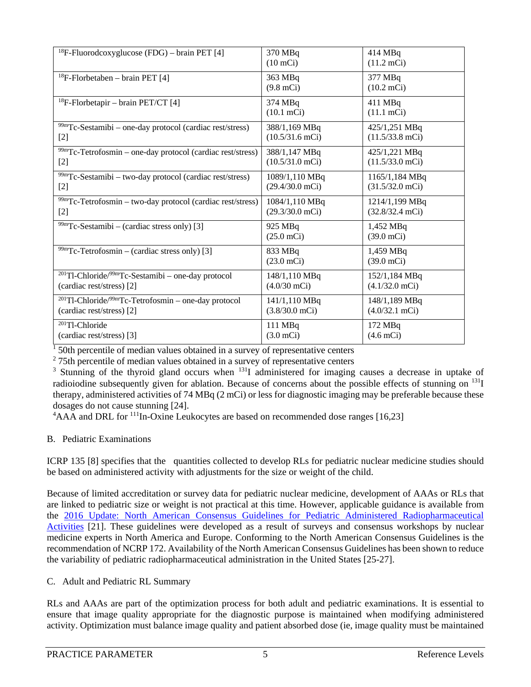| <sup>18</sup> F-Fluorodcoxyglucose (FDG) – brain PET [4]                     | 370 MBq<br>$(10$ mCi)           | 414 MBq<br>$(11.2 \text{ mCi})$   |
|------------------------------------------------------------------------------|---------------------------------|-----------------------------------|
| <sup>18</sup> F-Florbetaben – brain PET [4]                                  | 363 MBq<br>$(9.8$ mCi)          | 377 MBq<br>(10.2 mCi)             |
| <sup>18</sup> F-Florbetapir – brain PET/CT [4]                               | 374 MBq<br>(10.1 mCi)           | $411$ MBq<br>$(11.1 \text{ mCi})$ |
| $99m$ Tc-Sestamibi – one-day protocol (cardiac rest/stress)                  | 388/1,169 MBq                   | 425/1,251 MBq                     |
| $[2]$                                                                        | $(10.5/31.6$ mCi)               | $(11.5/33.8$ mCi)                 |
| <sup>99m</sup> Tc-Tetrofosmin - one-day protocol (cardiac rest/stress)       | 388/1,147 MBq                   | 425/1,221 MBq                     |
| $[2]$                                                                        | $(10.5/31.0$ mCi)               | $(11.5/33.0$ mCi)                 |
| $99m$ Tc-Sestamibi – two-day protocol (cardiac rest/stress)                  | 1089/1,110 MBq                  | 1165/1,184 MBq                    |
| $[2]$                                                                        | $(29.4/30.0$ mCi)               | $(31.5/32.0$ mCi)                 |
| $99m$ Tc-Tetrofosmin – two-day protocol (cardiac rest/stress)                | 1084/1,110 MBq                  | 1214/1,199 MBq                    |
| $[2]$                                                                        | $(29.3/30.0$ mCi)               | $(32.8/32.4$ mCi)                 |
| $^{99m}$ Tc-Sestamibi – (cardiac stress only) [3]                            | 925 MBq<br>$(25.0 \text{ mCi})$ | 1,452 MBq<br>$(39.0$ mCi)         |
| $99m$ Tc-Tetrofosmin – (cardiac stress only) [3]                             | 833 MBq<br>$(23.0 \text{ mCi})$ | 1,459 MBq<br>$(39.0$ mCi $)$      |
| <sup>201</sup> Tl-Chloride/ <sup>99m</sup> Tc-Sestamibi - one-day protocol   | 148/1,110 MBq                   | 152/1,184 MBq                     |
| (cardiac rest/stress) [2]                                                    | $(4.0/30$ mCi)                  | $(4.1/32.0$ mCi)                  |
| <sup>201</sup> Tl-Chloride/ <sup>99m</sup> Tc-Tetrofosmin - one-day protocol | 141/1,110 MBq                   | 148/1,189 MBq                     |
| (cardiac rest/stress) [2]                                                    | $(3.8/30.0$ mCi)                | $(4.0/32.1$ mCi)                  |
| $201$ Tl-Chloride                                                            | $111$ MBq                       | 172 MBq                           |
| (cardiac rest/stress) [3]                                                    | $(3.0$ mCi $)$                  | $(4.6$ mCi $)$                    |

<sup>1</sup> 50th percentile of median values obtained in a survey of representative centers

 $275th$  percentile of median values obtained in a survey of representative centers

<sup>3</sup> Stunning of the thyroid gland occurs when <sup>131</sup>I administered for imaging causes a decrease in uptake of radioiodine subsequently given for ablation. Because of concerns about the possible effects of stunning on <sup>131</sup>I therapy, administered activities of 74 MBq (2 mCi) or less for diagnostic imaging may be preferable because these dosages do not cause stunning [\[24\]](#page-8-8).

 ${}^{4}$ AAA and DRL for  ${}^{111}$ In-Oxine Leukocytes are based on recommended dose ranges [\[16,](#page-8-6)[23\]](#page-8-7)

#### B. Pediatric Examinations

ICRP 135 [\[8\]](#page-8-1) specifies that the quantities collected to develop RLs for pediatric nuclear medicine studies should be based on administered activity with adjustments for the size or weight of the child.

Because of limited accreditation or survey data for pediatric nuclear medicine, development of AAAs or RLs that are linked to pediatric size or weight is not practical at this time. However, applicable guidance is available from the 2016 Update: [North American Consensus Guidelines for Pediatric Administered Radiopharmaceutical](https://www.imagegently.org/Portals/6/Nuclear%20Medicine/ImageGentlyPoster_2017.pdf?ver=2017-02-13-124807-217)  [Activities](https://www.imagegently.org/Portals/6/Nuclear%20Medicine/ImageGentlyPoster_2017.pdf?ver=2017-02-13-124807-217) [\[21\]](#page-8-9). These guidelines were developed as a result of surveys and consensus workshops by nuclear medicine experts in North America and Europe. Conforming to the North American Consensus Guidelines is the recommendation of NCRP 172. Availability of the North American Consensus Guidelines has been shown to reduce the variability of pediatric radiopharmaceutical administration in the United States [\[25-27\]](#page-8-10).

### C. Adult and Pediatric RL Summary

RLs and AAAs are part of the optimization process for both adult and pediatric examinations. It is essential to ensure that image quality appropriate for the diagnostic purpose is maintained when modifying administered activity. Optimization must balance image quality and patient absorbed dose (ie, image quality must be maintained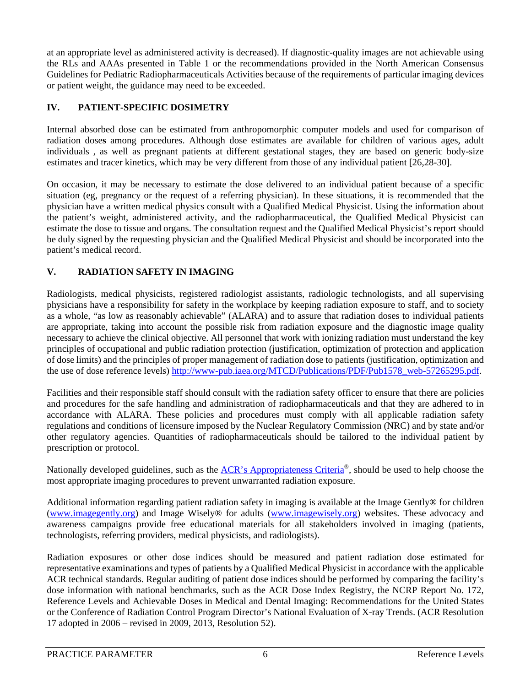at an appropriate level as administered activity is decreased). If diagnostic-quality images are not achievable using the RLs and AAAs presented in Table 1 or the recommendations provided in the North American Consensus Guidelines for Pediatric Radiopharmaceuticals Activities because of the requirements of particular imaging devices or patient weight, the guidance may need to be exceeded.

## **IV. PATIENT-SPECIFIC DOSIMETRY**

Internal absorbed dose can be estimated from anthropomorphic computer models and used for comparison of radiation dose**s** among procedures. Although dose estimates are available for children of various ages, adult individuals , as well as pregnant patients at different gestational stages, they are based on generic body-size estimates and tracer kinetics, which may be very different from those of any individual patient [\[26,](#page-8-11)[28-30\]](#page-9-1).

On occasion, it may be necessary to estimate the dose delivered to an individual patient because of a specific situation (eg, pregnancy or the request of a referring physician). In these situations, it is recommended that the physician have a written medical physics consult with a Qualified Medical Physicist. Using the information about the patient's weight, administered activity, and the radiopharmaceutical, the Qualified Medical Physicist can estimate the dose to tissue and organs. The consultation request and the Qualified Medical Physicist's report should be duly signed by the requesting physician and the Qualified Medical Physicist and should be incorporated into the patient's medical record.

## **V. RADIATION SAFETY IN IMAGING**

Radiologists, medical physicists, registered radiologist assistants, radiologic technologists, and all supervising physicians have a responsibility for safety in the workplace by keeping radiation exposure to staff, and to society as a whole, "as low as reasonably achievable" (ALARA) and to assure that radiation doses to individual patients are appropriate, taking into account the possible risk from radiation exposure and the diagnostic image quality necessary to achieve the clinical objective. All personnel that work with ionizing radiation must understand the key principles of occupational and public radiation protection (justification, optimization of protection and application of dose limits) and the principles of proper management of radiation dose to patients (justification, optimization and the use of dose reference levels) [http://www-pub.iaea.org/MTCD/Publications/PDF/Pub1578\\_web-57265295.pdf.](http://www-pub.iaea.org/MTCD/Publications/PDF/Pub1578_web-57265295.pdf)

Facilities and their responsible staff should consult with the radiation safety officer to ensure that there are policies and procedures for the safe handling and administration of radiopharmaceuticals and that they are adhered to in accordance with ALARA. These policies and procedures must comply with all applicable radiation safety regulations and conditions of licensure imposed by the Nuclear Regulatory Commission (NRC) and by state and/or other regulatory agencies. Quantities of radiopharmaceuticals should be tailored to the individual patient by prescription or protocol.

Nationally developed guidelines, such as the ACR's Appropriateness Criteria<sup>®</sup>, should be used to help choose the most appropriate imaging procedures to prevent unwarranted radiation exposure.

Additional information regarding patient radiation safety in imaging is available at the Image Gently® for children [\(www.imagegently.org\)](http://www.imagegently.org/) and Image Wisely® for adults [\(www.imagewisely.org\)](http://www.imagewisely.org/) websites. These advocacy and awareness campaigns provide free educational materials for all stakeholders involved in imaging (patients, technologists, referring providers, medical physicists, and radiologists).

Radiation exposures or other dose indices should be measured and patient radiation dose estimated for representative examinations and types of patients by a Qualified Medical Physicist in accordance with the applicable ACR technical standards. Regular auditing of patient dose indices should be performed by comparing the facility's dose information with national benchmarks, such as the ACR Dose Index Registry, the NCRP Report No. 172, Reference Levels and Achievable Doses in Medical and Dental Imaging: Recommendations for the United States or the Conference of Radiation Control Program Director's National Evaluation of X-ray Trends. (ACR Resolution 17 adopted in 2006 – revised in 2009, 2013, Resolution 52).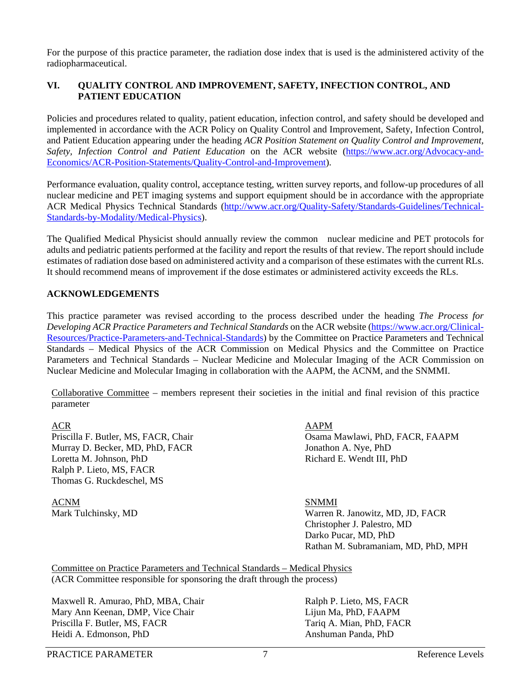For the purpose of this practice parameter, the radiation dose index that is used is the administered activity of the radiopharmaceutical.

#### **VI. QUALITY CONTROL AND IMPROVEMENT, SAFETY, INFECTION CONTROL, AND PATIENT EDUCATION**

Policies and procedures related to quality, patient education, infection control, and safety should be developed and implemented in accordance with the ACR Policy on Quality Control and Improvement, Safety, Infection Control, and Patient Education appearing under the heading *ACR Position Statement on Quality Control and Improvement, Safety, Infection Control and Patient Education* on the ACR website [\(https://www.acr.org/Advocacy-and-](https://www.acr.org/Advocacy-and-Economics/ACR-Position-Statements/Quality-Control-and-Improvement)[Economics/ACR-Position-Statements/Quality-Control-and-Improvement\)](https://www.acr.org/Advocacy-and-Economics/ACR-Position-Statements/Quality-Control-and-Improvement).

Performance evaluation, quality control, acceptance testing, written survey reports, and follow-up procedures of all nuclear medicine and PET imaging systems and support equipment should be in accordance with the appropriate ACR Medical Physics Technical Standards [\(http://www.acr.org/Quality-Safety/Standards-Guidelines/Technical-](http://www.acr.org/Quality-Safety/Standards-Guidelines/Technical-Standards-by-Modality/Medical-Physics)[Standards-by-Modality/Medical-Physics\)](http://www.acr.org/Quality-Safety/Standards-Guidelines/Technical-Standards-by-Modality/Medical-Physics).

The Qualified Medical Physicist should annually review the common nuclear medicine and PET protocols for adults and pediatric patients performed at the facility and report the results of that review. The report should include estimates of radiation dose based on administered activity and a comparison of these estimates with the current RLs. It should recommend means of improvement if the dose estimates or administered activity exceeds the RLs.

#### **ACKNOWLEDGEMENTS**

This practice parameter was revised according to the process described under the heading *The Process for Developing ACR Practice Parameters and Technical Standards* on the ACR website [\(https://www.acr.org/Clinical-](https://www.acr.org/Clinical-Resources/Practice-Parameters-and-Technical-Standards)[Resources/Practice-Parameters-and-Technical-Standards\)](https://www.acr.org/Clinical-Resources/Practice-Parameters-and-Technical-Standards) by the Committee on Practice Parameters and Technical Standards – Medical Physics of the ACR Commission on Medical Physics and the Committee on Practice Parameters and Technical Standards – Nuclear Medicine and Molecular Imaging of the ACR Commission on Nuclear Medicine and Molecular Imaging in collaboration with the AAPM, the ACNM, and the SNMMI.

Collaborative Committee – members represent their societies in the initial and final revision of this practice parameter

Murray D. Becker, MD, PhD, FACR Jonathon A. Nye, PhD Loretta M. Johnson, PhD Richard E. Wendt III, PhD Ralph P. Lieto, MS, FACR Thomas G. Ruckdeschel, MS

ACNM SNMMI

ACR AAPM Priscilla F. Butler, MS, FACR, Chair **Osama Mawlawi, PhD, FACR, FAAPM** 

Mark Tulchinsky, MD Warren R. Janowitz, MD, JD, FACR Christopher J. Palestro, MD Darko Pucar, MD, PhD Rathan M. Subramaniam, MD, PhD, MPH

Committee on Practice Parameters and Technical Standards – Medical Physics (ACR Committee responsible for sponsoring the draft through the process)

Maxwell R. Amurao, PhD, MBA, Chair Ralph P. Lieto, MS, FACR Mary Ann Keenan, DMP, Vice Chair Lijun Ma, PhD, FAAPM Priscilla F. Butler, MS, FACR Tariq A. Mian, PhD, FACR Heidi A. Edmonson, PhD Anshuman Panda, PhD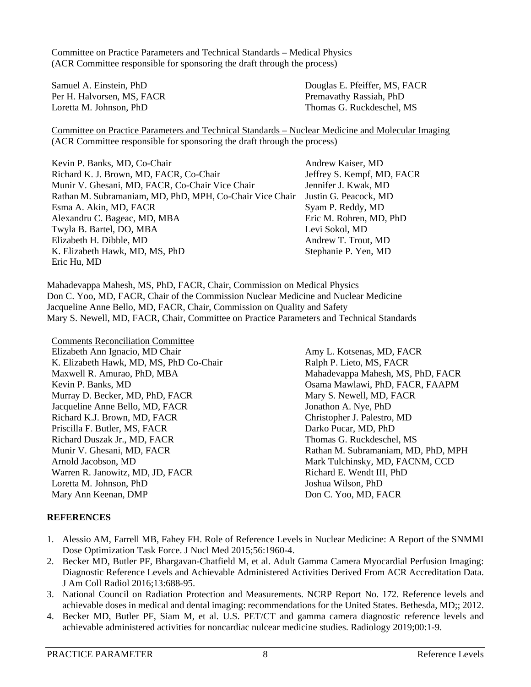Committee on Practice Parameters and Technical Standards – Medical Physics (ACR Committee responsible for sponsoring the draft through the process)

Per H. Halvorsen, MS, FACR Premavathy Rassiah, PhD

Samuel A. Einstein, PhD Douglas E. Pfeiffer, MS, FACR Loretta M. Johnson, PhD Thomas G. Ruckdeschel, MS

Committee on Practice Parameters and Technical Standards – Nuclear Medicine and Molecular Imaging (ACR Committee responsible for sponsoring the draft through the process)

Kevin P. Banks, MD, Co-Chair **Andrew Kaiser**, MD Richard K. J. Brown, MD, FACR, Co-Chair Jeffrey S. Kempf, MD, FACR Munir V. Ghesani, MD, FACR, Co-Chair Vice Chair Jennifer J. Kwak, MD Rathan M. Subramaniam, MD, PhD, MPH, Co-Chair Vice Chair Justin G. Peacock, MD Esma A. Akin, MD, FACR Syam P. Reddy, MD Alexandru C. Bageac, MD, MBA Eric M. Rohren, MD, PhD Twyla B. Bartel, DO, MBA Levi Sokol, MD Elizabeth H. Dibble, MD Andrew T. Trout, MD K. Elizabeth Hawk, MD, MS, PhD Stephanie P. Yen, MD Eric Hu, MD

Mahadevappa Mahesh, MS, PhD, FACR, Chair, Commission on Medical Physics Don C. Yoo, MD, FACR, Chair of the Commission Nuclear Medicine and Nuclear Medicine Jacqueline Anne Bello, MD, FACR, Chair, Commission on Quality and Safety Mary S. Newell, MD, FACR, Chair, Committee on Practice Parameters and Technical Standards

Comments Reconciliation Committee Elizabeth Ann Ignacio, MD Chair **Amy L. Kotsenas, MD, FACR** K. Elizabeth Hawk, MD, MS, PhD Co-Chair Ralph P. Lieto, MS, FACR Maxwell R. Amurao, PhD, MBA Mahadevappa Mahadevappa Mahesh, MS, PhD, FACR Kevin P. Banks, MD Cosama Mawlawi, PhD, FACR, FAAPM Murray D. Becker, MD, PhD, FACR Mary S. Newell, MD, FACR Jacqueline Anne Bello, MD, FACR Jonathon A. Nye, PhD Richard K.J. Brown, MD, FACR Christopher J. Palestro, MD Priscilla F. Butler, MS, FACR Darko Pucar, MD, PhD Richard Duszak Jr., MD, FACR Thomas G. Ruckdeschel, MS Arnold Jacobson, MD Mark Tulchinsky, MD, FACNM, CCD Warren R. Janowitz, MD, JD, FACR Richard E. Wendt III, PhD Loretta M. Johnson, PhD Joshua Wilson, PhD Mary Ann Keenan, DMP Don C. Yoo, MD, FACR

Munir V. Ghesani, MD, FACR Rathan M. Subramaniam, MD, PhD, MPH

### **REFERENCES**

- <span id="page-7-0"></span>1. Alessio AM, Farrell MB, Fahey FH. Role of Reference Levels in Nuclear Medicine: A Report of the SNMMI Dose Optimization Task Force. J Nucl Med 2015;56:1960-4.
- <span id="page-7-2"></span>2. Becker MD, Butler PF, Bhargavan-Chatfield M, et al. Adult Gamma Camera Myocardial Perfusion Imaging: Diagnostic Reference Levels and Achievable Administered Activities Derived From ACR Accreditation Data. J Am Coll Radiol 2016;13:688-95.
- <span id="page-7-1"></span>3. National Council on Radiation Protection and Measurements. NCRP Report No. 172. Reference levels and achievable doses in medical and dental imaging: recommendations for the United States. Bethesda, MD;; 2012.
- <span id="page-7-3"></span>4. Becker MD, Butler PF, Siam M, et al. U.S. PET/CT and gamma camera diagnostic reference levels and achievable administered activities for noncardiac nulcear medicine studies. Radiology 2019;00:1-9.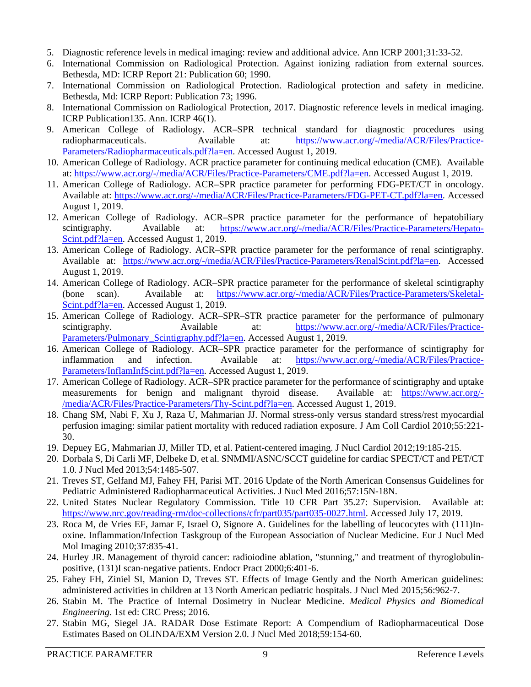- <span id="page-8-0"></span>5. Diagnostic reference levels in medical imaging: review and additional advice. Ann ICRP 2001;31:33-52.
- 6. International Commission on Radiological Protection. Against ionizing radiation from external sources. Bethesda, MD: ICRP Report 21: Publication 60; 1990.
- 7. International Commission on Radiological Protection. Radiological protection and safety in medicine. Bethesda, Md: ICRP Report: Publication 73; 1996.
- <span id="page-8-1"></span>8. International Commission on Radiological Protection, 2017. Diagnostic reference levels in medical imaging. ICRP Publication135. Ann. ICRP 46(1).
- <span id="page-8-2"></span>9. American College of Radiology. ACR–SPR technical standard for diagnostic procedures using radiopharmaceuticals. Available at: [https://www.acr.org/-/media/ACR/Files/Practice-](https://www.acr.org/-/media/ACR/Files/Practice-Parameters/Radiopharmaceuticals.pdf?la=en)[Parameters/Radiopharmaceuticals.pdf?la=en.](https://www.acr.org/-/media/ACR/Files/Practice-Parameters/Radiopharmaceuticals.pdf?la=en) Accessed August 1, 2019.
- <span id="page-8-3"></span>10. American College of Radiology. ACR practice parameter for continuing medical education (CME). Available at: [https://www.acr.org/-/media/ACR/Files/Practice-Parameters/CME.pdf?la=en.](https://www.acr.org/-/media/ACR/Files/Practice-Parameters/CME.pdf?la=en) Accessed August 1, 2019.
- <span id="page-8-4"></span>11. American College of Radiology. ACR–SPR practice parameter for performing FDG-PET/CT in oncology. Available at: [https://www.acr.org/-/media/ACR/Files/Practice-Parameters/FDG-PET-CT.pdf?la=en.](https://www.acr.org/-/media/ACR/Files/Practice-Parameters/FDG-PET-CT.pdf?la=en) Accessed August 1, 2019.
- 12. American College of Radiology. ACR–SPR practice parameter for the performance of hepatobiliary scintigraphy. Available at: [https://www.acr.org/-/media/ACR/Files/Practice-Parameters/Hepato-](https://www.acr.org/-/media/ACR/Files/Practice-Parameters/Hepato-Scint.pdf?la=en)[Scint.pdf?la=en.](https://www.acr.org/-/media/ACR/Files/Practice-Parameters/Hepato-Scint.pdf?la=en) Accessed August 1, 2019.
- 13. American College of Radiology. ACR–SPR practice parameter for the performance of renal scintigraphy. Available at: [https://www.acr.org/-/media/ACR/Files/Practice-Parameters/RenalScint.pdf?la=en.](https://www.acr.org/-/media/ACR/Files/Practice-Parameters/RenalScint.pdf?la=en) Accessed August 1, 2019.
- 14. American College of Radiology. ACR–SPR practice parameter for the performance of skeletal scintigraphy (bone scan). Available at: [https://www.acr.org/-/media/ACR/Files/Practice-Parameters/Skeletal-](https://www.acr.org/-/media/ACR/Files/Practice-Parameters/Skeletal-Scint.pdf?la=en)[Scint.pdf?la=en.](https://www.acr.org/-/media/ACR/Files/Practice-Parameters/Skeletal-Scint.pdf?la=en) Accessed August 1, 2019.
- 15. American College of Radiology. ACR–SPR–STR practice parameter for the performance of pulmonary scintigraphy. Available at: [https://www.acr.org/-/media/ACR/Files/Practice-](https://www.acr.org/-/media/ACR/Files/Practice-Parameters/Pulmonary_Scintigraphy.pdf?la=en)[Parameters/Pulmonary\\_Scintigraphy.pdf?la=en.](https://www.acr.org/-/media/ACR/Files/Practice-Parameters/Pulmonary_Scintigraphy.pdf?la=en) Accessed August 1, 2019.
- <span id="page-8-6"></span>16. American College of Radiology. ACR–SPR practice parameter for the performance of scintigraphy for inflammation and infection. Available at: [https://www.acr.org/-/media/ACR/Files/Practice-](https://www.acr.org/-/media/ACR/Files/Practice-Parameters/InflamInfScint.pdf?la=en)[Parameters/InflamInfScint.pdf?la=en.](https://www.acr.org/-/media/ACR/Files/Practice-Parameters/InflamInfScint.pdf?la=en) Accessed August 1, 2019.
- 17. American College of Radiology. ACR–SPR practice parameter for the performance of scintigraphy and uptake measurements for benign and malignant thyroid disease. Available at: [https://www.acr.org/-](https://www.acr.org/-/media/ACR/Files/Practice-Parameters/Thy-Scint.pdf?la=en) [/media/ACR/Files/Practice-Parameters/Thy-Scint.pdf?la=en.](https://www.acr.org/-/media/ACR/Files/Practice-Parameters/Thy-Scint.pdf?la=en) Accessed August 1, 2019.
- 18. Chang SM, Nabi F, Xu J, Raza U, Mahmarian JJ. Normal stress-only versus standard stress/rest myocardial perfusion imaging: similar patient mortality with reduced radiation exposure. J Am Coll Cardiol 2010;55:221- 30.
- 19. Depuey EG, Mahmarian JJ, Miller TD, et al. Patient-centered imaging. J Nucl Cardiol 2012;19:185-215.
- 20. Dorbala S, Di Carli MF, Delbeke D, et al. SNMMI/ASNC/SCCT guideline for cardiac SPECT/CT and PET/CT 1.0. J Nucl Med 2013;54:1485-507.
- <span id="page-8-9"></span>21. Treves ST, Gelfand MJ, Fahey FH, Parisi MT. 2016 Update of the North American Consensus Guidelines for Pediatric Administered Radiopharmaceutical Activities. J Nucl Med 2016;57:15N-18N.
- <span id="page-8-5"></span>22. United States Nuclear Regulatory Commission. Title 10 CFR Part 35.27: Supervision. Available at: [https://www.nrc.gov/reading-rm/doc-collections/cfr/part035/part035-0027.html.](https://www.nrc.gov/reading-rm/doc-collections/cfr/part035/part035-0027.html) Accessed July 17, 2019.
- <span id="page-8-7"></span>23. Roca M, de Vries EF, Jamar F, Israel O, Signore A. Guidelines for the labelling of leucocytes with (111)Inoxine. Inflammation/Infection Taskgroup of the European Association of Nuclear Medicine. Eur J Nucl Med Mol Imaging 2010;37:835-41.
- <span id="page-8-8"></span>24. Hurley JR. Management of thyroid cancer: radioiodine ablation, "stunning," and treatment of thyroglobulinpositive, (131)I scan-negative patients. Endocr Pract 2000;6:401-6.
- <span id="page-8-10"></span>25. Fahey FH, Ziniel SI, Manion D, Treves ST. Effects of Image Gently and the North American guidelines: administered activities in children at 13 North American pediatric hospitals. J Nucl Med 2015;56:962-7.
- <span id="page-8-11"></span>26. Stabin M. The Practice of Internal Dosimetry in Nuclear Medicine. *Medical Physics and Biomedical Engineering*. 1st ed: CRC Press; 2016.
- 27. Stabin MG, Siegel JA. RADAR Dose Estimate Report: A Compendium of Radiopharmaceutical Dose Estimates Based on OLINDA/EXM Version 2.0. J Nucl Med 2018;59:154-60.